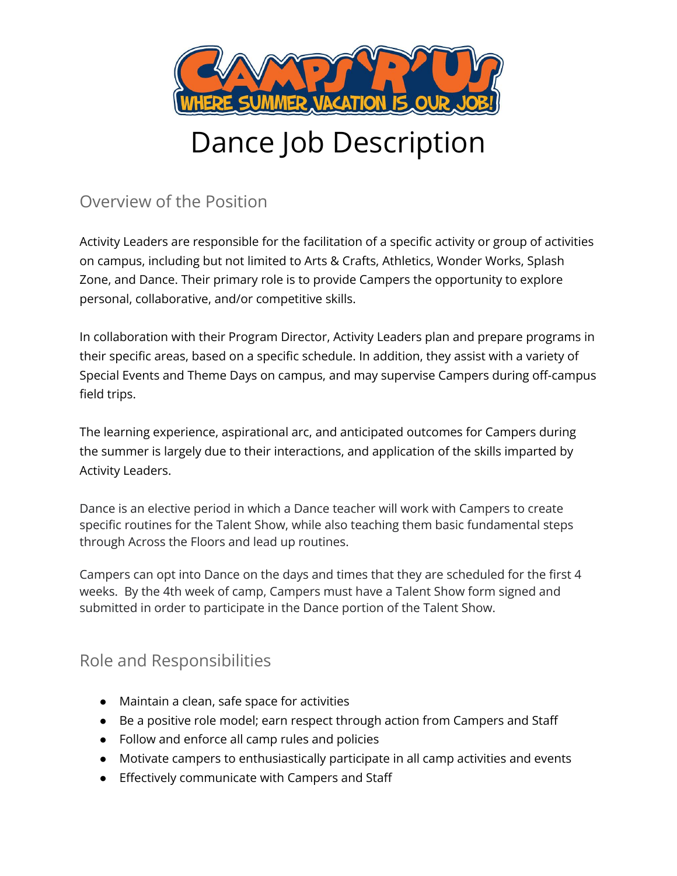

# Dance Job Description

Overview of the Position

Activity Leaders are responsible for the facilitation of a specific activity or group of activities on campus, including but not limited to Arts & Crafts, Athletics, Wonder Works, Splash Zone, and Dance. Their primary role is to provide Campers the opportunity to explore personal, collaborative, and/or competitive skills.

In collaboration with their Program Director, Activity Leaders plan and prepare programs in their specific areas, based on a specific schedule. In addition, they assist with a variety of Special Events and Theme Days on campus, and may supervise Campers during off-campus field trips.

The learning experience, aspirational arc, and anticipated outcomes for Campers during the summer is largely due to their interactions, and application of the skills imparted by Activity Leaders.

Dance is an elective period in which a Dance teacher will work with Campers to create specific routines for the Talent Show, while also teaching them basic fundamental steps through Across the Floors and lead up routines.

Campers can opt into Dance on the days and times that they are scheduled for the first 4 weeks. By the 4th week of camp, Campers must have a Talent Show form signed and submitted in order to participate in the Dance portion of the Talent Show.

# Role and Responsibilities

- Maintain a clean, safe space for activities
- Be a positive role model; earn respect through action from Campers and Staff
- Follow and enforce all camp rules and policies
- Motivate campers to enthusiastically participate in all camp activities and events
- Effectively communicate with Campers and Staff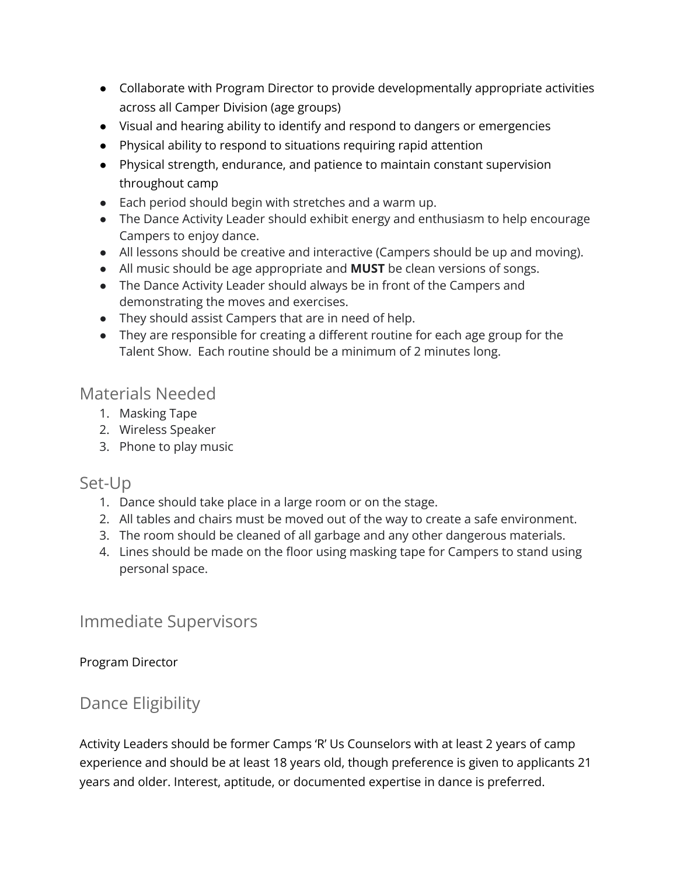- Collaborate with Program Director to provide developmentally appropriate activities across all Camper Division (age groups)
- Visual and hearing ability to identify and respond to dangers or emergencies
- Physical ability to respond to situations requiring rapid attention
- Physical strength, endurance, and patience to maintain constant supervision throughout camp
- Each period should begin with stretches and a warm up.
- The Dance Activity Leader should exhibit energy and enthusiasm to help encourage Campers to enjoy dance.
- All lessons should be creative and interactive (Campers should be up and moving).
- All music should be age appropriate and **MUST** be clean versions of songs.
- The Dance Activity Leader should always be in front of the Campers and demonstrating the moves and exercises.
- They should assist Campers that are in need of help.
- They are responsible for creating a different routine for each age group for the Talent Show. Each routine should be a minimum of 2 minutes long.

#### Materials Needed

- 1. Masking Tape
- 2. Wireless Speaker
- 3. Phone to play music

#### Set-Up

- 1. Dance should take place in a large room or on the stage.
- 2. All tables and chairs must be moved out of the way to create a safe environment.
- 3. The room should be cleaned of all garbage and any other dangerous materials.
- 4. Lines should be made on the floor using masking tape for Campers to stand using personal space.

#### Immediate Supervisors

#### Program Director

# Dance Eligibility

Activity Leaders should be former Camps 'R' Us Counselors with at least 2 years of camp experience and should be at least 18 years old, though preference is given to applicants 21 years and older. Interest, aptitude, or documented expertise in dance is preferred.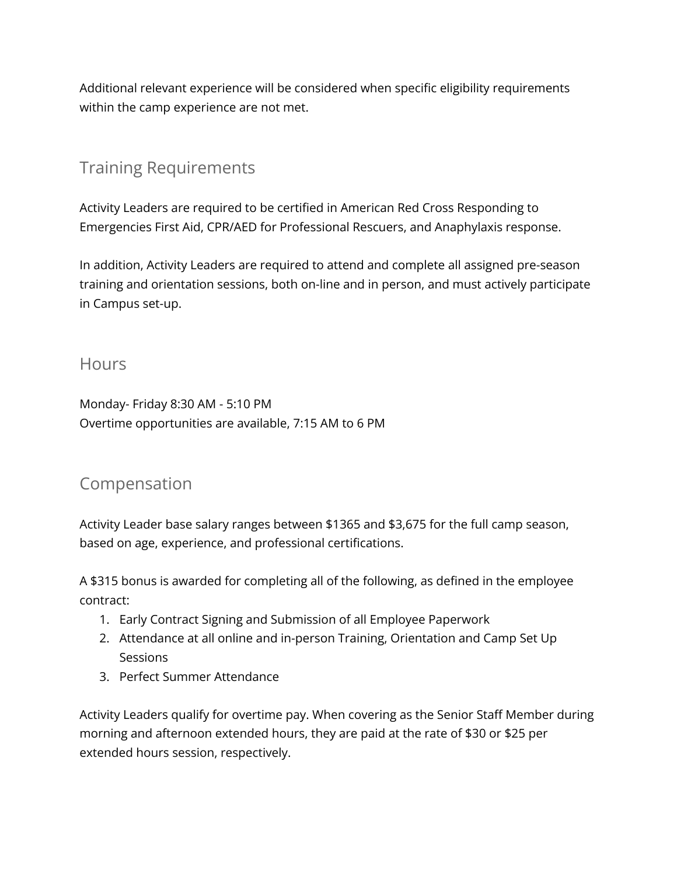Additional relevant experience will be considered when specific eligibility requirements within the camp experience are not met.

# Training Requirements

Activity Leaders are required to be certified in American Red Cross Responding to Emergencies First Aid, CPR/AED for Professional Rescuers, and Anaphylaxis response.

In addition, Activity Leaders are required to attend and complete all assigned pre-season training and orientation sessions, both on-line and in person, and must actively participate in Campus set-up.

#### **Hours**

Monday- Friday 8:30 AM - 5:10 PM Overtime opportunities are available, 7:15 AM to 6 PM

### Compensation

Activity Leader base salary ranges between \$1365 and \$3,675 for the full camp season, based on age, experience, and professional certifications.

A \$315 bonus is awarded for completing all of the following, as defined in the employee contract:

- 1. Early Contract Signing and Submission of all Employee Paperwork
- 2. Attendance at all online and in-person Training, Orientation and Camp Set Up **Sessions**
- 3. Perfect Summer Attendance

Activity Leaders qualify for overtime pay. When covering as the Senior Staff Member during morning and afternoon extended hours, they are paid at the rate of \$30 or \$25 per extended hours session, respectively.